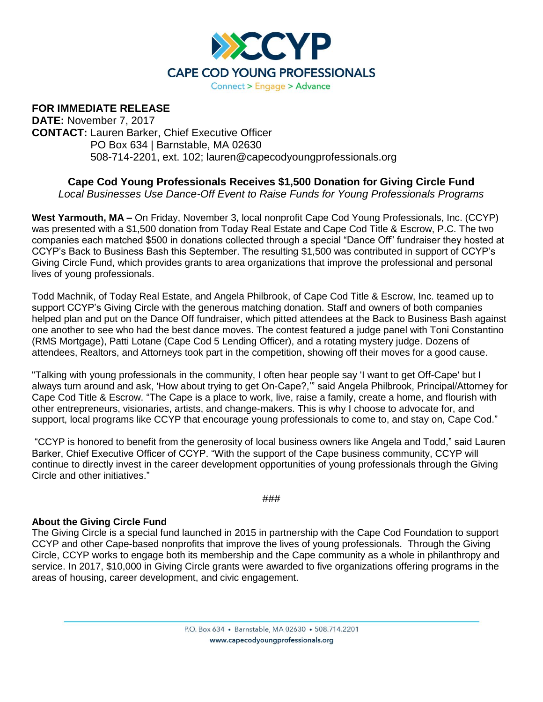

## **FOR IMMEDIATE RELEASE**

**DATE:** November 7, 2017 **CONTACT:** Lauren Barker, Chief Executive Officer PO Box 634 | Barnstable, MA 02630 508-714-2201, ext. 102; lauren@capecodyoungprofessionals.org

## **Cape Cod Young Professionals Receives \$1,500 Donation for Giving Circle Fund**

*Local Businesses Use Dance-Off Event to Raise Funds for Young Professionals Programs*

**West Yarmouth, MA –** On Friday, November 3, local nonprofit Cape Cod Young Professionals, Inc. (CCYP) was presented with a \$1,500 donation from Today Real Estate and Cape Cod Title & Escrow, P.C. The two companies each matched \$500 in donations collected through a special "Dance Off" fundraiser they hosted at CCYP's Back to Business Bash this September. The resulting \$1,500 was contributed in support of CCYP's Giving Circle Fund, which provides grants to area organizations that improve the professional and personal lives of young professionals.

Todd Machnik, of Today Real Estate, and Angela Philbrook, of Cape Cod Title & Escrow, Inc. teamed up to support CCYP's Giving Circle with the generous matching donation. Staff and owners of both companies helped plan and put on the Dance Off fundraiser, which pitted attendees at the Back to Business Bash against one another to see who had the best dance moves. The contest featured a judge panel with Toni Constantino (RMS Mortgage), Patti Lotane (Cape Cod 5 Lending Officer), and a rotating mystery judge. Dozens of attendees, Realtors, and Attorneys took part in the competition, showing off their moves for a good cause.

"Talking with young professionals in the community, I often hear people say 'I want to get Off-Cape' but I always turn around and ask, 'How about trying to get On-Cape?,'" said Angela Philbrook, Principal/Attorney for Cape Cod Title & Escrow. "The Cape is a place to work, live, raise a family, create a home, and flourish with other entrepreneurs, visionaries, artists, and change-makers. This is why I choose to advocate for, and support, local programs like CCYP that encourage young professionals to come to, and stay on, Cape Cod."

"CCYP is honored to benefit from the generosity of local business owners like Angela and Todd," said Lauren Barker, Chief Executive Officer of CCYP. "With the support of the Cape business community, CCYP will continue to directly invest in the career development opportunities of young professionals through the Giving Circle and other initiatives."

###

## **About the Giving Circle Fund**

The Giving Circle is a special fund launched in 2015 in partnership with the Cape Cod Foundation to support CCYP and other Cape-based nonprofits that improve the lives of young professionals. Through the Giving Circle, CCYP works to engage both its membership and the Cape community as a whole in philanthropy and service. In 2017, \$10,000 in Giving Circle grants were awarded to five organizations offering programs in the areas of housing, career development, and civic engagement.